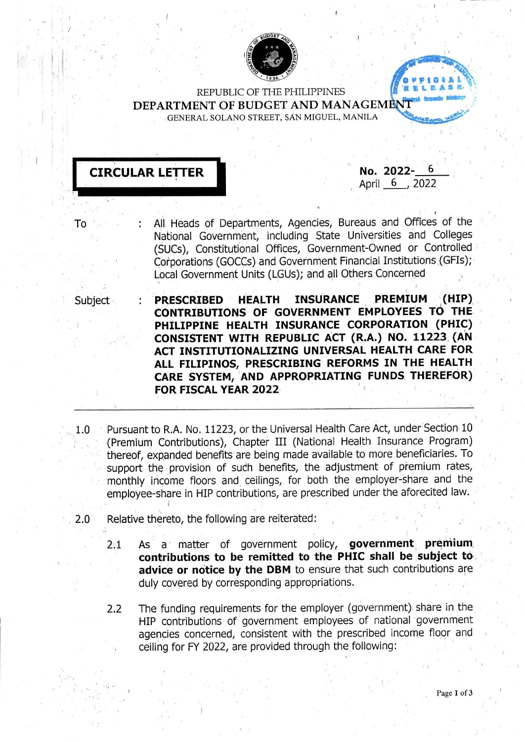

REPUBLIC OF THE PHILIPPINES DEPARTMENT OF BUDGET AND MANAGEMENT GENERAL SOLANO STREET, SAN MIGUEL, MANILA



No. 2022-April 6, 2022

All Heads of Departments, Agencies, Bureaus and Offices of the National Government, including State Universities and Colleges (SUCs), Constitutional Offices, Government-Owned or Controlled Corporations (GOCCs) and Government Financial Institutions (GFIs); Local Government Units (LGUs); and all Others Concerned

Subject

то

 $(HIP)$ **HEALTH INSURANCE PREMIUM PRESCRIBED** CONTRIBUTIONS OF GOVERNMENT EMPLOYEES TO THE PHILIPPINE HEALTH INSURANCE CORPORATION (PHIC) CONSISTENT WITH REPUBLIC ACT (R.A.) NO. 11223 (AN ACT INSTITUTIONALIZING UNIVERSAL HEALTH CARE FOR ALL FILIPINOS, PRESCRIBING REFORMS IN THE HEALTH CARE SYSTEM, AND APPROPRIATING FUNDS THEREFOR) FOR FISCAL YEAR 2022

- Pursuant to R.A. No. 11223, or the Universal Health Care Act, under Section 10  $1.0$ (Premium Contributions), Chapter III (National Health Insurance Program) thereof, expanded benefits are being made available to more beneficiaries. To support the provision of such benefits, the adjustment of premium rates, monthly income floors and ceilings, for both the employer-share and the employee-share in HIP contributions, are prescribed under the aforecited law.
- Relative thereto, the following are reiterated:  $2.0^\circ$ 
	- As a matter of government policy, government premium  $2:1$ contributions to be remitted to the PHIC shall be subject to advice or notice by the DBM to ensure that such contributions are duly covered by corresponding appropriations.
	- The funding requirements for the employer (government) share in the  $2.2$ HIP contributions of government employees of national government agencies concerned, consistent with the prescribed income floor and ceiling for FY 2022, are provided through the following: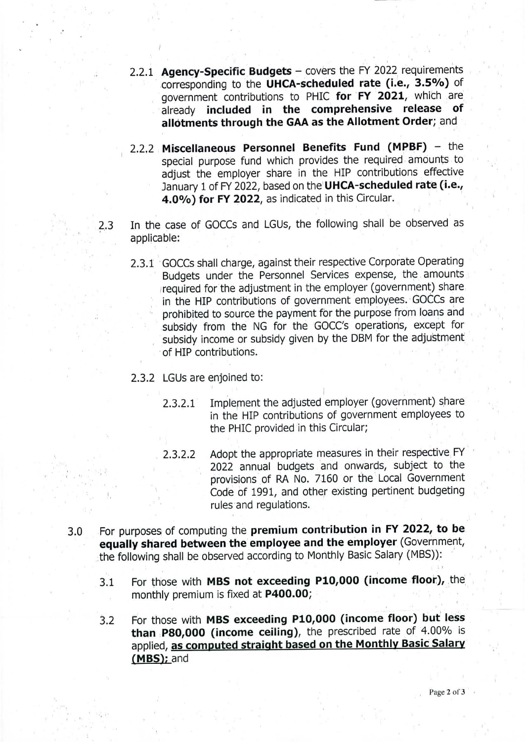- **2.2.1 Agency-Specific Budgets** covers the FY <sup>2022</sup> requirements corresponding to the **UHCA-scheduled rate (i.e., 3.5%)** of government contributions to PHIC **for FY 2021,** which are already **included in the comprehensive release of alldtments through the GAA as the Allotment Order;** and
- **2.2.2 Miscellaneous Personnel Benefits Fund (MPBF)** the special purpose fund which provides the required amounts to adjust the employer share in the HIP contributions effective January <sup>1</sup> of FY 2022, based on the **UHCA-scheduled rate (i.e., 4.0%) for FY 2022,** as indicated in this Circular.
- In the case of GOCCs and LGUs, the following shall be observed as applicable: 2.3
	- 2.3.1 GOCCs shall charge, against their respective Corporate Operating Budgets under the Personnel Services expense, the amounts required for the adjustment in the employer (government) share in the HIP contributions of government employees. GOCCs are prohibited to source the payment for the purpose from loans and subsidy from the NG for the GOCC's operations, except for subsidy income or subsidy given by the DBM for the adjustment of HIP contributions.
	- 2.3.2 LGUs are enjoined to:
		- 2.3.2.1 Implement the adjusted employer (government) share in the HIP contributions of government employees to the PHIC provided in this Circular;
		- 2.3.2.2 Adopt the appropriate measures in their respective FY 2022 annual budgets and onwards, subject to the provisions of RA No. 7160 or the Local Government Code of 1991, and other existing pertinent budgeting rules and regulations.
- 3.0 For purposes of computing the **premium contribution in FY 2022, to be equally shared between the employee and the employer** (Government, the following shall be observed according to Monthly Basic Salary (MBS)):
	- 3.1 For those with **MBS not exceeding P10,000 (income floor),** the monthly premium is fixed at **P400.00;**
	- 3.2 For those with **MBS exceeding P10,000 (income floor) but less than P80,000 (income ceiling),** the prescribed rate of 4.00% is applied, **as computed straight based on the Monthly Basic Salary fMBSl:** and